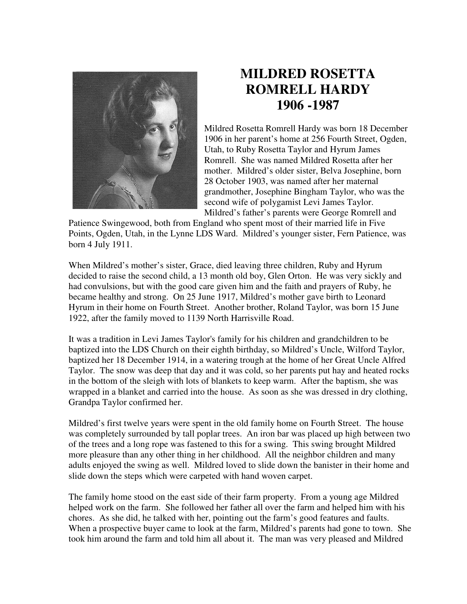

## **MILDRED ROSETTA ROMRELL HARDY 1906 -1987**

Mildred Rosetta Romrell Hardy was born 18 December 1906 in her parent's home at 256 Fourth Street, Ogden, Utah, to Ruby Rosetta Taylor and Hyrum James Romrell. She was named Mildred Rosetta after her mother. Mildred's older sister, Belva Josephine, born 28 October 1903, was named after her maternal grandmother, Josephine Bingham Taylor, who was the second wife of polygamist Levi James Taylor. Mildred's father's parents were George Romrell and

Patience Swingewood, both from England who spent most of their married life in Five Points, Ogden, Utah, in the Lynne LDS Ward. Mildred's younger sister, Fern Patience, was born 4 July 1911.

When Mildred's mother's sister, Grace, died leaving three children, Ruby and Hyrum decided to raise the second child, a 13 month old boy, Glen Orton. He was very sickly and had convulsions, but with the good care given him and the faith and prayers of Ruby, he became healthy and strong. On 25 June 1917, Mildred's mother gave birth to Leonard Hyrum in their home on Fourth Street. Another brother, Roland Taylor, was born 15 June 1922, after the family moved to 1139 North Harrisville Road.

It was a tradition in Levi James Taylor's family for his children and grandchildren to be baptized into the LDS Church on their eighth birthday, so Mildred's Uncle, Wilford Taylor, baptized her 18 December 1914, in a watering trough at the home of her Great Uncle Alfred Taylor. The snow was deep that day and it was cold, so her parents put hay and heated rocks in the bottom of the sleigh with lots of blankets to keep warm. After the baptism, she was wrapped in a blanket and carried into the house. As soon as she was dressed in dry clothing, Grandpa Taylor confirmed her.

Mildred's first twelve years were spent in the old family home on Fourth Street. The house was completely surrounded by tall poplar trees. An iron bar was placed up high between two of the trees and a long rope was fastened to this for a swing. This swing brought Mildred more pleasure than any other thing in her childhood. All the neighbor children and many adults enjoyed the swing as well. Mildred loved to slide down the banister in their home and slide down the steps which were carpeted with hand woven carpet.

The family home stood on the east side of their farm property. From a young age Mildred helped work on the farm. She followed her father all over the farm and helped him with his chores. As she did, he talked with her, pointing out the farm's good features and faults. When a prospective buyer came to look at the farm, Mildred's parents had gone to town. She took him around the farm and told him all about it. The man was very pleased and Mildred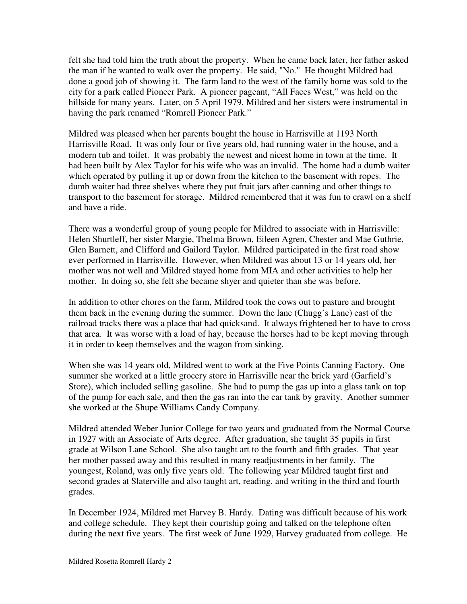felt she had told him the truth about the property. When he came back later, her father asked the man if he wanted to walk over the property. He said, "No." He thought Mildred had done a good job of showing it. The farm land to the west of the family home was sold to the city for a park called Pioneer Park. A pioneer pageant, "All Faces West," was held on the hillside for many years. Later, on 5 April 1979, Mildred and her sisters were instrumental in having the park renamed "Romrell Pioneer Park."

Mildred was pleased when her parents bought the house in Harrisville at 1193 North Harrisville Road. It was only four or five years old, had running water in the house, and a modern tub and toilet. It was probably the newest and nicest home in town at the time. It had been built by Alex Taylor for his wife who was an invalid. The home had a dumb waiter which operated by pulling it up or down from the kitchen to the basement with ropes. The dumb waiter had three shelves where they put fruit jars after canning and other things to transport to the basement for storage. Mildred remembered that it was fun to crawl on a shelf and have a ride.

There was a wonderful group of young people for Mildred to associate with in Harrisville: Helen Shurtleff, her sister Margie, Thelma Brown, Eileen Agren, Chester and Mae Guthrie, Glen Barnett, and Clifford and Gailord Taylor. Mildred participated in the first road show ever performed in Harrisville. However, when Mildred was about 13 or 14 years old, her mother was not well and Mildred stayed home from MIA and other activities to help her mother. In doing so, she felt she became shyer and quieter than she was before.

In addition to other chores on the farm, Mildred took the cows out to pasture and brought them back in the evening during the summer. Down the lane (Chugg's Lane) east of the railroad tracks there was a place that had quicksand. It always frightened her to have to cross that area. It was worse with a load of hay, because the horses had to be kept moving through it in order to keep themselves and the wagon from sinking.

When she was 14 years old, Mildred went to work at the Five Points Canning Factory. One summer she worked at a little grocery store in Harrisville near the brick yard (Garfield's Store), which included selling gasoline. She had to pump the gas up into a glass tank on top of the pump for each sale, and then the gas ran into the car tank by gravity. Another summer she worked at the Shupe Williams Candy Company.

Mildred attended Weber Junior College for two years and graduated from the Normal Course in 1927 with an Associate of Arts degree. After graduation, she taught 35 pupils in first grade at Wilson Lane School. She also taught art to the fourth and fifth grades. That year her mother passed away and this resulted in many readjustments in her family. The youngest, Roland, was only five years old. The following year Mildred taught first and second grades at Slaterville and also taught art, reading, and writing in the third and fourth grades.

In December 1924, Mildred met Harvey B. Hardy. Dating was difficult because of his work and college schedule. They kept their courtship going and talked on the telephone often during the next five years. The first week of June 1929, Harvey graduated from college. He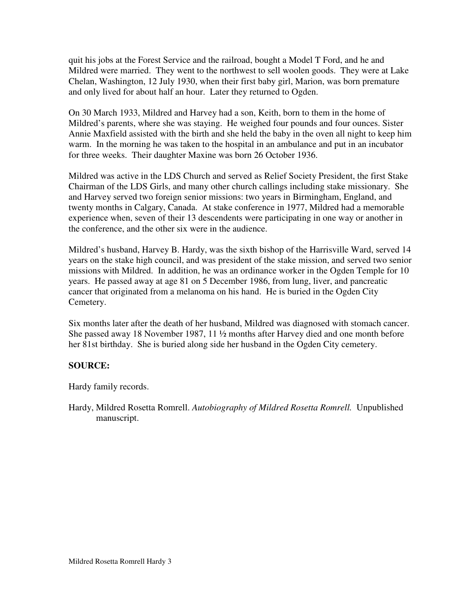quit his jobs at the Forest Service and the railroad, bought a Model T Ford, and he and Mildred were married. They went to the northwest to sell woolen goods. They were at Lake Chelan, Washington, 12 July 1930, when their first baby girl, Marion, was born premature and only lived for about half an hour. Later they returned to Ogden.

On 30 March 1933, Mildred and Harvey had a son, Keith, born to them in the home of Mildred's parents, where she was staying. He weighed four pounds and four ounces. Sister Annie Maxfield assisted with the birth and she held the baby in the oven all night to keep him warm. In the morning he was taken to the hospital in an ambulance and put in an incubator for three weeks. Their daughter Maxine was born 26 October 1936.

Mildred was active in the LDS Church and served as Relief Society President, the first Stake Chairman of the LDS Girls, and many other church callings including stake missionary. She and Harvey served two foreign senior missions: two years in Birmingham, England, and twenty months in Calgary, Canada. At stake conference in 1977, Mildred had a memorable experience when, seven of their 13 descendents were participating in one way or another in the conference, and the other six were in the audience.

Mildred's husband, Harvey B. Hardy, was the sixth bishop of the Harrisville Ward, served 14 years on the stake high council, and was president of the stake mission, and served two senior missions with Mildred. In addition, he was an ordinance worker in the Ogden Temple for 10 years. He passed away at age 81 on 5 December 1986, from lung, liver, and pancreatic cancer that originated from a melanoma on his hand. He is buried in the Ogden City Cemetery.

Six months later after the death of her husband, Mildred was diagnosed with stomach cancer. She passed away 18 November 1987, 11 ½ months after Harvey died and one month before her 81st birthday. She is buried along side her husband in the Ogden City cemetery.

## **SOURCE:**

Hardy family records.

Hardy, Mildred Rosetta Romrell. *Autobiography of Mildred Rosetta Romrell.* Unpublished manuscript.